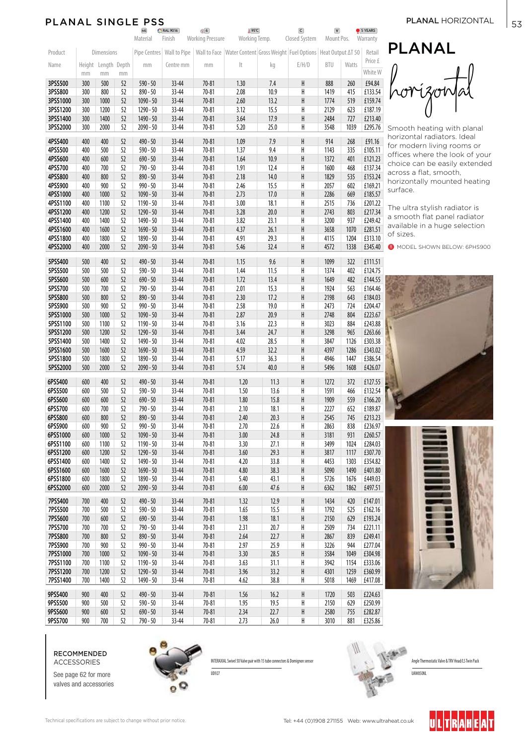|                      |            |                     |          | PLANAL SINGLE PSS         |                           |                                       |                                                                                |              |                                 |                                    |              |                     |
|----------------------|------------|---------------------|----------|---------------------------|---------------------------|---------------------------------------|--------------------------------------------------------------------------------|--------------|---------------------------------|------------------------------------|--------------|---------------------|
|                      |            |                     |          | MS<br>Material            | <b>RAL 9016</b><br>Finish | $\sqrt{6}$<br><b>Working Pressure</b> | 195°C<br>Working Temp.                                                         |              | $\overline{C}$<br>Closed System | $\boxed{\mathsf{v}}$<br>Mount Pos. |              | 5 YEARS<br>Warranty |
| Product              |            | Dimensions          |          | Pipe Centres              | Wall to Pipe              |                                       | Wall to Face   Water Content   Gross Weight   Fuel Options   Heat Output ∆T 50 |              |                                 |                                    |              | Retail              |
| Name                 |            | Height Length Depth |          | mm                        | Centre mm                 | mm                                    | It                                                                             | kg           | E/H/D                           | <b>BTU</b>                         | Watts        | Price £             |
|                      | mm         | mm                  | mm       |                           |                           |                                       |                                                                                |              |                                 |                                    |              | White W             |
| 3PSS500              | 300        | 500                 | 52       | $590 - 50$                | 33-44                     | 70-81                                 | 1.30                                                                           | 7.4          | H                               | 888                                | 260          | £94.84              |
| 3PSS800              | 300        | 800                 | 52       | $890 - 50$                | 33-44                     | 70-81                                 | 2.08                                                                           | 10.9         | Н                               | 1419                               | 415          | £133.54             |
| 3PSS1000             | 300        | 1000                | 52       | $1090 - 50$               | 33-44                     | $70 - 81$                             | 2.60                                                                           | 13.2         | H                               | 1774                               | 519          | £159.74             |
| 3PSS1200             | 300        | 1200                | 52       | 1290 - 50                 | 33-44                     | $70 - 81$                             | 3.12                                                                           | 15.5         | H                               | 2129                               | 623          | £187.19             |
| 3PSS1400<br>3PSS2000 | 300        | 1400                | 52       | 1490 - 50                 | 33-44                     | $70 - 81$                             | 3.64                                                                           | 17.9<br>25.0 | H<br>Н                          | 2484<br>3548                       | 727          | £213.40             |
|                      | 300        | 2000                | 52       | $2090 - 50$               | 33-44                     | $70 - 81$                             | 5.20                                                                           |              |                                 |                                    | 1039         | £295.76             |
| 4PSS400              | 400        | 400                 | 52       | $490 - 50$                | 33-44                     | $70 - 81$                             | 1.09                                                                           | 7.9          | H                               | 914                                | 268          | £91.16              |
| 4PSS500              | 400        | 500                 | 52       | $590 - 50$                | 33-44                     | 70-81                                 | 1.37                                                                           | 9.4          | H                               | 1143                               | 335          | £105.11             |
| 4PSS600              | 400        | 600                 | 52       | $690 - 50$                | 33-44                     | $70 - 81$                             | 1.64                                                                           | 10.9         | H                               | 1372                               | 401          | £121.23             |
| 4PSS700<br>4PSS800   | 400        | 700                 | 52<br>52 | $790 - 50$<br>$890 - 50$  | 33-44<br>33-44            | $70 - 81$<br>$70 - 81$                | 1.91                                                                           | 12.4         | H<br>H                          | 1600<br>1829                       | 468          | £137.34             |
| 4PSS900              | 400        | 800                 | 52       |                           |                           | 70-81                                 | 2.18<br>2.46                                                                   | 14.0<br>15.5 | H                               | 2057                               | 535          | £153.24<br>£169.21  |
| 4PSS1000             | 400        | 900                 | 52       | $990 - 50$<br>$1090 - 50$ | 33-44<br>33-44            |                                       |                                                                                | 17.0         | H                               | 2286                               | 602          |                     |
| 4PSS1100             | 400<br>400 | 1000<br>1100        | 52       | 1190 - 50                 | 33-44                     | $70 - 81$<br>70-81                    | 2.73<br>3.00                                                                   | 18.1         | H                               | 2515                               | 669<br>736   | £185.57<br>£201.22  |
| 4PSS1200             | 400        | 1200                | 52       | $1290 - 50$               | 33-44                     | $70 - 81$                             | 3.28                                                                           | 20.0         | H                               | 2743                               | 803          | £217.34             |
| 4PSS1400             | 400        | 1400                | 52       | 1490 - 50                 | 33-44                     | 70-81                                 | 3.82                                                                           | 23.1         | H                               | 3200                               | 937          | £249.42             |
| 4PSS1600             | 400        | 1600                | 52       | $1690 - 50$               | 33-44                     | $70 - 81$                             | 4.37                                                                           | 26.1         | H                               | 3658                               | 1070         | £281.51             |
| 4PSS1800             | 400        | 1800                | 52       | 1890 - 50                 | 33-44                     | 70-81                                 | 4.91                                                                           | 29.3         | H                               | 4115                               | 1204         | £313.10             |
| 4PSS2000             | 400        | 2000                | 52       | $2090 - 50$               | 33-44                     | $70 - 81$                             | 5.46                                                                           | 32.4         | H                               | 4572                               | 1338         | £345.40             |
|                      |            |                     |          |                           |                           |                                       |                                                                                |              |                                 |                                    |              |                     |
| 5PSS400              | 500        | 400                 | 52       | $490 - 50$                | 33-44                     | $70 - 81$                             | 1.15                                                                           | 9.6          | H                               | 1099                               | 322          | £111.51             |
| 5PSS500              | 500        | 500                 | 52       | $590 - 50$                | 33-44                     | 70-81                                 | 1.44                                                                           | 11.5         | H                               | 1374                               | 402          | £124.75             |
| 5PSS600              | 500        | 600                 | 52       | $690 - 50$                | 33-44                     | $70 - 81$                             | 1.72                                                                           | 13.4         | H                               | 1649                               | 482          | £144.55             |
| 5PSS700              | 500        | 700                 | 52       | $790 - 50$                | 33-44                     | 70-81                                 | 2.01                                                                           | 15.3         | H                               | 1924                               | 563          | £164.46             |
| 5PSS800              | 500        | 800                 | 52       | $890 - 50$                | 33-44                     | $70 - 81$                             | 2.30                                                                           | 17.2         | H                               | 2198                               | 643          | £184.03             |
| 5PSS900              | 500        | 900                 | 52       | $990 - 50$                | 33-44                     | $70 - 81$                             | 2.58                                                                           | 19.0         | H                               | 2473                               | 724          | £204.47             |
| 5PSS1000             | 500        | 1000                | 52       | $1090 - 50$               | 33-44                     | $70 - 81$                             | 2.87                                                                           | 20.9         | H                               | 2748                               | 804          | £223.67             |
| 5PSS1100             | 500        | 1100                | 52       | 1190 - 50                 | 33-44                     | 70-81                                 | 3.16                                                                           | 22.3         | H                               | 3023                               | 884          | £243.88             |
| 5PSS1200             | 500        | 1200                | 52       | $1290 - 50$               | 33-44                     | $70 - 81$                             | 3.44                                                                           | 24.7         | H                               | 3298                               | 965          | £263.66             |
| 5PSS1400<br>5PSS1600 | 500        | 1400                | 52<br>52 | 1490 - 50<br>$1690 - 50$  | 33-44                     | 70-81<br>$70 - 81$                    | 4.02<br>4.59                                                                   | 28.5<br>32.2 | H<br>H                          | 3847<br>4397                       | 1126         | £303.38<br>£343.02  |
| 5PSS1800             | 500<br>500 | 1600<br>1800        | 52       | 1890 - 50                 | 33-44<br>33-44            | 70-81                                 | 5.17                                                                           | 36.3         | H                               | 4946                               | 1286<br>1447 | £386.54             |
| 5PSS2000             | 500        | 2000                | 52       | $2090 - 50$               | 33-44                     | $70 - 81$                             | 5.74                                                                           | 40.0         | Н                               | 5496                               | 1608         | £426.07             |
|                      |            |                     |          |                           |                           |                                       |                                                                                |              |                                 |                                    |              |                     |
| 6PSS400              | 600        | 400                 | 52       | $490 - 50$                | 33-44                     | $70 - 81$                             | 1.20                                                                           | 11.3         | H                               | 1272                               | 372          | £127.55             |
| 6PSS500              | 600        | 500                 | 52       | $590 - 50$                | 33-44                     | 70-81                                 | 1.50                                                                           | 13.6         | H                               | 1591                               | 466          | £132.54             |
| 6PSS600              | 600        | 600                 | 52       | $690 - 50$                | 33-44                     | $70 - 81$                             | 1.80                                                                           | 15.8         | H                               | 1909                               | 559          | £166.20             |
| 6PSS700              | 600        | 700                 | 52       | 790 - 50                  | 33-44                     | 70-81                                 | 2.10                                                                           | 18.1         | H                               | 2227                               | 652          | £189.87             |
| 6PSS800              | 600        | 800                 | 52       | $890 - 50$                | 33-44                     | $70 - 81$                             | 2.40                                                                           | 20.3         | H                               | 2545                               | 745          | £213.23             |
| 6PSS900              | 600        | 900                 | 52       | $990 - 50$                | 33-44                     | 70-81                                 | 2.70                                                                           | 22.6         | Н                               | 2863                               | 838          | £236.97             |
| 6PSS1000             | 600        | 1000                | 52       | $1090 - 50$               | 33-44                     | $70 - 81$                             | 3.00                                                                           | 24.8         | H                               | 3181                               | 931          | £260.57             |
| 6PSS1100             | 600        | 1100                | 52       | 1190 - 50                 | 33-44                     | 70-81                                 | 3.30                                                                           | 27.1         | Н                               | 3499                               | 1024         | £284.03             |
| 6PSS1200             | 600        | 1200                | 52       | $1290 - 50$               | 33-44                     | 70-81                                 | 3.60                                                                           | 29.3         | Н                               | 3817                               | 1117         | £307.70             |
| 6PSS1400             | 600        | 1400                | 52       | 1490 - 50                 | 33-44                     | 70-81                                 | 4.20                                                                           | 33.8         | Н                               | 4453                               | 1303         | £354.82             |
| 6PSS1600             | 600        | 1600                | 52       | $1690 - 50$               | 33-44                     | 70-81                                 | 4.80                                                                           | 38.3         | Н                               | 5090                               | 1490         | £401.80             |
| 6PSS1800             | 600        | 1800                | 52       | 1890 - 50                 | 33-44                     | 70-81                                 | 5.40                                                                           | 43.1         | Н                               | 5726                               | 1676         | £449.03             |
| 6PSS2000             | 600        | 2000                | 52       | $2090 - 50$               | 33-44                     | 70-81                                 | 6.00                                                                           | 47.6         | Н                               | 6362                               | 1862         | £497.51             |
| 7PSS400              | 700        | 400                 | 52       | $490 - 50$                | $33 - 44$                 | $70 - 81$                             | 1.32                                                                           | 12.9         | H                               | 1434                               | 420          | £147.01             |
| 7PSS500              | 700        | 500                 | 52       | $590 - 50$                | 33-44                     | 70-81                                 | 1.65                                                                           | 15.5         | Н                               | 1792                               | 525          | £162.16             |
| 7PSS600              | 700        | 600                 | 52       | $690 - 50$                | 33-44                     | $70 - 81$                             | 1.98                                                                           | 18.1         | Н                               | 2150                               | 629          | £193.24             |
| 7PSS700              | 700        | 700                 | 52       | $790 - 50$                | 33-44                     | 70-81                                 | 2.31                                                                           | 20.7         | Н                               | 2509                               | 734          | £221.11             |
| 7PSS800              | 700        | 800                 | 52       | $890 - 50$                | 33-44                     | $70 - 81$                             | 2.64                                                                           | 22.7         | Н                               | 2867                               | 839          | £249.41             |
| 7PSS900              | 700        | 900                 | 52       | $990 - 50$                | 33-44                     | 70-81                                 | 2.97                                                                           | 25.9         | Н                               | 3226                               | 944          | £277.04             |
| 7PSS1000             | 700        | 1000                | 52       | $1090 - 50$               | 33-44                     | 70-81                                 | 3.30                                                                           | 28.5         | Н                               | 3584                               | 1049         | £304.98             |
| 7PSS1100             | 700        | 1100                | 52       | $1190 - 50$               | 33-44                     | 70-81                                 | 3.63                                                                           | 31.1         | Н                               | 3942                               | 1154         | £333.06             |
| 7PSS1200             | 700        | 1200                | 52       | $1290 - 50$               | $33 - 44$                 | 70-81                                 | 3.96                                                                           | 33.2         | H                               | 4301                               | 1259         | £360.99             |
| 7PSS1400             | 700        | 1400                | 52       | 1490 - 50                 | 33-44                     | $70 - 81$                             | 4.62                                                                           | 38.8         | Н                               | 5018                               | 1469         | £417.08             |
| 9PSS400              | 900        | 400                 | 52       | $490 - 50$                | 33-44                     | 70-81                                 | 1.56                                                                           | 16.2         | $\sf H$                         | 1720                               | 503          | £224.63             |
| 9PSS500              | 900        | 500                 | 52       | $590 - 50$                | 33-44                     | 70-81                                 | 1.95                                                                           | 19.5         | Н                               | 2150                               | 629          | £250.99             |
| 9PSS600              | 900        | 600                 | 52       | $690 - 50$                | 33-44                     | 70-81                                 | 2.34                                                                           | 22.7         | $\sf H$                         | 2580                               | 755          | £282.87             |
| 9PSS700              | 900        | 700                 | 52       | 790 - 50                  | 33-44                     | 70-81                                 | 2.73                                                                           | $26.0$       | Н                               | 3010                               | 881          | £325.86             |

53

PLANAL horizontal

mooth heating with planal orizontal radiators. Ideal or modern living rooms or ffices where the look of your hoice can be easily extended cross a flat, smooth, orizontally mounted heating urface.

he ultra stylish radiator is smooth flat panel radiator vailable in a huge selection f sizes.

MODEL SHOWN BELOW: 6PHS900





RECOMMENDED ACCESSORIES

See page 62 for more valves and accessories



UD927

INTERAXIAL Swivel 50 Valve pair with 15 tube connectors & Domignon sensor



Angle Thermostatic Valve & TRV Head/LS Twin Pack

UAW850NL

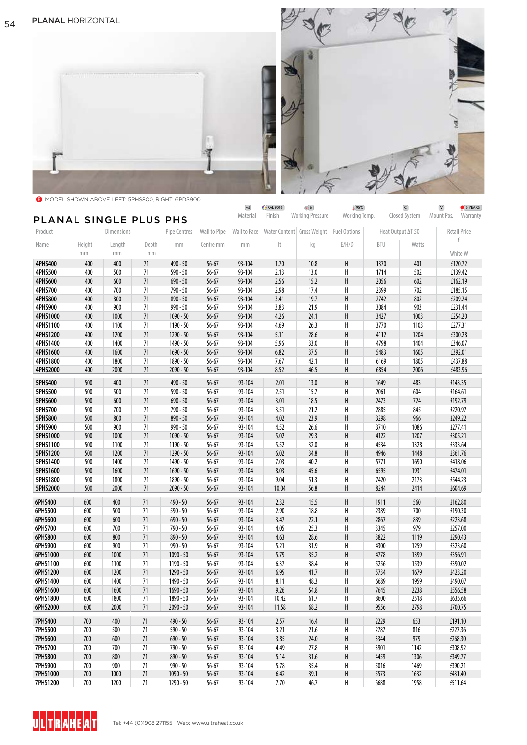

**B** MODEL SHOWN ABOVE LEFT: 5PHS800, RIGHT: 6PDS900

| PLANAL SINGLE PLUS PHS |              |              |             |              |              | MS<br>Material | <b>RAL 9016</b><br>Finish | $\sqrt{6}$<br><b>Working Pressure</b> | 195°C<br>Working Temp. |            | $\overline{c}$<br>Closed System | $\boxed{\mathbf{v}}$<br>5 YEARS<br>Mount Pos.<br>Warranty |
|------------------------|--------------|--------------|-------------|--------------|--------------|----------------|---------------------------|---------------------------------------|------------------------|------------|---------------------------------|-----------------------------------------------------------|
| Product                |              | Dimensions   |             | Pipe Centres | Wall to Pipe | Wall to Face   |                           | Water Content Gross Weight            | Fuel Options           |            | Heat Output AT 50               | <b>Retail Price</b>                                       |
| Name                   | Height<br>mm | Length<br>mm | Depth<br>mm | mm           | Centre mm    | mm             | It                        | kg                                    | E/H/D                  | <b>BTU</b> | Watts                           | £<br>White W                                              |
| 4PHS400                | 400          | 400          | 71          | $490 - 50$   | $56 - 67$    | 93-104         | 1.70                      | 10.8                                  | H                      | 1370       | 401                             | £120.72                                                   |
| 4PHS500                | 400          | 500          | 71          | $590 - 50$   | 56-67        | 93-104         | 2.13                      | 13.0                                  | H                      | 1714       | 502                             | £139.42                                                   |
| 4PHS600                | 400          | 600          | 71          | $690 - 50$   | $56 - 67$    | 93-104         | 2.56                      | 15.2                                  | H                      | 2056       | 602                             | £162.19                                                   |
| 4PHS700                | 400          | 700          | 71          | $790 - 50$   | 56-67        | 93-104         | 2.98                      | 17.4                                  | H                      | 2399       | 702                             | £185.15                                                   |
| 4PHS800                | 400          | 800          | 71          | $890 - 50$   | $56 - 67$    | 93-104         | 3.41                      | 19.7                                  | H                      | 2742       | 802                             | £209.24                                                   |
| 4PHS900                | 400          | 900          | 71          | $990 - 50$   | 56-67        | 93-104         | 3.83                      | 21.9                                  | H                      | 3084       | 903                             | £231.44                                                   |
| 4PHS1000               | 400          | 1000         | 71          | $1090 - 50$  | 56-67        | 93-104         | 4.26                      | 24.1                                  | H                      | 3427       | 1003                            | £254.20                                                   |
| 4PHS1100               | 400          | 1100         | 71          | $1190 - 50$  | 56-67        | 93-104         | 4.69                      | 26.3                                  | Н                      | 3770       | 1103                            | £277.31                                                   |
| 4PHS1200               | 400          | 1200         | 71          | $1290 - 50$  | 56-67        | 93-104         | 5.11                      | 28.6                                  |                        | 4112       | 1204                            | £300.28                                                   |
| 4PHS1400               | 400          | 1400         | 71          | 1490 - 50    |              |                |                           |                                       | H<br>H                 | 4798       |                                 |                                                           |
|                        |              |              |             |              | 56-67        | 93-104         | 5.96                      | 33.0                                  |                        |            | 1404                            | £346.07                                                   |
| 4PHS1600               | 400          | 1600         | 71          | $1690 - 50$  | $56 - 67$    | 93-104         | 6.82                      | 37.5                                  | H                      | 5483       | 1605                            | £392.01                                                   |
| 4PHS1800               | 400          | 1800         | 71          | 1890 - 50    | 56-67        | 93-104         | 7.67                      | 42.1                                  | H                      | 6169       | 1805                            | £437.88                                                   |
| 4PHS2000               | 400          | 2000         | 71          | $2090 - 50$  | $56 - 67$    | 93-104         | 8.52                      | 46.5                                  | H                      | 6854       | 2006                            | £483.96                                                   |
| 5PHS400                | 500          | 400          | 71          | $490 - 50$   | 56-67        | 93-104         | 2.01                      | 13.0                                  | Н                      | 1649       | 483                             | £143.35                                                   |
| 5PHS500                | 500          | 500          | 71          | $590 - 50$   | 56-67        | 93-104         | 2.51                      | 15.7                                  | H                      | 2061       | 604                             | £164.61                                                   |
| 5PHS600                | 500          | 600          | 71          | $690 - 50$   | $56 - 67$    | 93-104         | 3.01                      | 18.5                                  | Н                      | 2473       | 724                             | £192.79                                                   |
| 5PHS700                | 500          | 700          | 71          | $790 - 50$   | 56-67        | 93-104         | 3.51                      | 21.2                                  | H                      | 2885       | 845                             | £220.97                                                   |
| 5PHS800                | 500          | 800          | 71          | $890 - 50$   | $56 - 67$    | 93-104         | 4.02                      | 23.9                                  | H                      | 3298       | 966                             | £249.22                                                   |
| 5PHS900                | 500          | 900          | 71          | $990 - 50$   | 56-67        | 93-104         | 4.52                      | 26.6                                  | H                      | 3710       | 1086                            | £277.41                                                   |
| 5PHS1000               | 500          | 1000         | 71          | $1090 - 50$  | 56-67        | 93-104         | 5.02                      | 29.3                                  | H                      | 4122       | 1207                            | £305.21                                                   |
| 5PHS1100               | 500          | 1100         | 71          | $1190 - 50$  | 56-67        | 93-104         | 5.52                      | 32.0                                  | H                      | 4534       | 1328                            | £333.64                                                   |
| 5PHS1200               | 500          | 1200         | 71          | $1290 - 50$  | $56 - 67$    | 93-104         | 6.02                      | 34.8                                  | Н                      | 4946       | 1448                            | £361.76                                                   |
| 5PHS1400               | 500          | 1400         | 71          | 1490 - 50    | 56-67        | 93-104         | 7.03                      | 40.2                                  | H                      | 5771       | 1690                            | £418.06                                                   |
| 5PHS1600               | 500          | 1600         | 71          | $1690 - 50$  | $56 - 67$    | 93-104         | 8.03                      | 45.6                                  | H                      | 6595       | 1931                            | £474.01                                                   |
| 5PHS1800               | 500          | 1800         | 71          | 1890 - 50    | 56-67        | 93-104         | 9.04                      | 51.3                                  | H                      | 7420       | 2173                            | £544.23                                                   |
| 5PHS2000               | 500          | 2000         | 71          | $2090 - 50$  | $56 - 67$    | 93-104         | 10.04                     | 56.8                                  | Н                      | 8244       | 2414                            | £604.69                                                   |
| 6PHS400                | 600          | 400          | 71          | $490 - 50$   | $56 - 67$    | 93-104         | 2.32                      | 15.5                                  | Н                      | 1911       | 560                             | £162.80                                                   |
| 6PHS500                | 600          | 500          | 71          | $590 - 50$   | 56-67        | 93-104         | 2.90                      | 18.8                                  | H                      | 2389       | 700                             | £190.30                                                   |
| 6PHS600                | 600          | 600          | 71          | $690 - 50$   | $56 - 67$    | 93-104         | 3.47                      | 22.1                                  | H                      | 2867       | 839                             | £223.68                                                   |
| 6PHS700                | 600          | 700          | 71          | $790 - 50$   | 56-67        | 93-104         | 4.05                      | 25.3                                  | H                      | 3345       | 979                             | £257.00                                                   |
| 6PHS800                | 600          | 800          | 71          | $890 - 50$   | $56 - 67$    | 93-104         | 4.63                      | 28.6                                  | H                      | 3822       | 1119                            | £290.43                                                   |
| 6PHS900                | 600          | 900          | 71          | $990 - 50$   | 56-67        | 93-104         | 5.21                      | 31.9                                  | H                      | 4300       | 1259                            | £323.60                                                   |
| 6PHS1000               | 600          | 1000         | $71\,$      | $1090 - 50$  | 56-67        | 93-104         | 5.79                      | 35.2                                  | H                      | 4778       | 1399                            | £356.91                                                   |
| 6PHS1100               | 600          | 1100         | 71          | $1190 - 50$  | 56-67        | 93-104         | 6.37                      | 38.4                                  | H                      | 5256       | 1539                            | £390.02                                                   |
| 6PHS1200               | 600          | 1200         | $71\,$      | $1290 - 50$  | $56 - 67$    | 93-104         | 6.95                      | 41.7                                  | H                      | 5734       | 1679                            | £423.20                                                   |
| 6PHS1400               | 600          | 1400         | 71          | 1490 - 50    | 56-67        | 93-104         | 8.11                      | 48.3                                  | H                      | 6689       | 1959                            | £490.07                                                   |
| 6PHS1600               | 600          | 1600         | 71          | $1690 - 50$  | $56 - 67$    | 93-104         | 9.26                      | 54.8                                  | H                      | 7645       | 2238                            | £556.58                                                   |
| 6PHS1800               | 600          | 1800         | 71          | 1890 - 50    | 56-67        | 93-104         | 10.42                     | 61.7                                  | H                      | 8600       | 2518                            | £635.66                                                   |
| 6PHS2000               | 600          | 2000         | 71          | $2090 - 50$  | $56 - 67$    | 93-104         | 11.58                     | 68.2                                  | H                      | 9556       | 2798                            | £700.75                                                   |
| 7PHS400                | 700          | 400          | 71          | $490 - 50$   | $56 - 67$    | 93-104         | 2.57                      | 16.4                                  | Н                      | 2229       | 653                             | £191.10                                                   |
| 7PHS500                | 700          | 500          | 71          | $590 - 50$   | 56-67        | 93-104         | 3.21                      | 21.6                                  | Н                      | 2787       | 816                             | £227.36                                                   |
| 7PHS600                | 700          | 600          | $71\,$      | $690 - 50$   | $56 - 67$    | 93-104         | 3.85                      | 24.0                                  | H                      | 3344       | 979                             | £268.30                                                   |
| 7PHS700                | 700          | 700          | 71          | 790 - 50     | 56-67        | 93-104         | 4.49                      | 27.8                                  | Н                      | 3901       | 1142                            | £308.92                                                   |
| 7PHS800                | 700          | 800          | 71          | $890 - 50$   | $56 - 67$    | 93-104         | 5.14                      | 31.6                                  | Н                      | 4459       | 1306                            | £349.77                                                   |
| 7PHS900                | 700          | 900          | $71\,$      | $990 - 50$   | 56-67        | 93-104         | 5.78                      | 35.4                                  | Н                      | 5016       | 1469                            | £390.21                                                   |
| 7PHS1000               | 700          | 1000         | $71\,$      | $1090 - 50$  | $56 - 67$    | 93-104         | 6.42                      | 39.1                                  | H                      | 5573       | 1632                            | £431.40                                                   |
| 7PHS1200               | 700          | 1200         | 71          | 1290 - 50    | $56 - 67$    | 93-104         | 7.70                      | 46.7                                  | H                      | 6688       | 1958                            | £511.64                                                   |

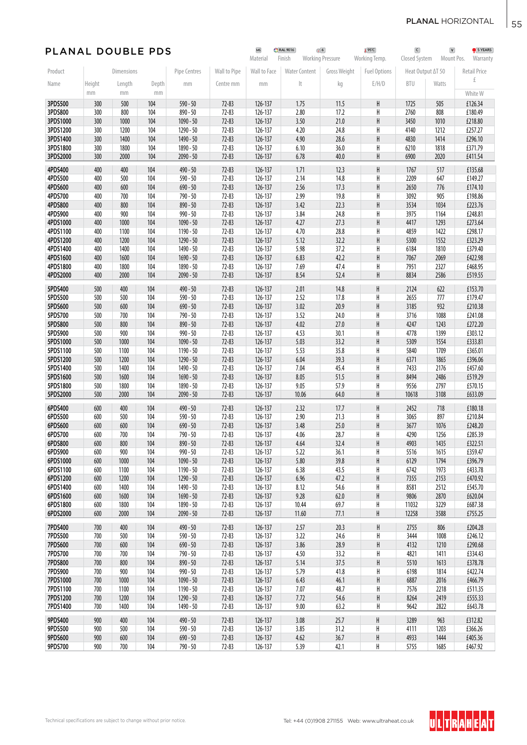55

| PLANAL DOUBLE PDS    |              |              |             |                          |                        | <b>MS</b><br>Material | <b>PAL 9016</b><br>Finish | $\sqrt{6}$<br><b>Working Pressure</b> | 195°C<br>Working Temp.    | $\vert c \vert$<br>Closed System | $\sqrt{V}$<br>Mount Pos. | 5 YEARS<br>Warranty |
|----------------------|--------------|--------------|-------------|--------------------------|------------------------|-----------------------|---------------------------|---------------------------------------|---------------------------|----------------------------------|--------------------------|---------------------|
| Product              |              | Dimensions   |             | Pipe Centres             | Wall to Pipe           | Wall to Face          | <b>Water Content</b>      | Gross Weight                          | <b>Fuel Options</b>       | Heat Output AT 50                |                          | <b>Retail Price</b> |
| Name                 | Height<br>mm | Length<br>mm | Depth<br>mm | mm                       | Centre mm              | mm                    | $\mathbb{I}$              | kg                                    | E/H/D                     | <b>BTU</b>                       | Watts                    | £<br>White W        |
| 3PDS500              | 300          | 500          | 104         | $590 - 50$               | $72 - 83$              | 126-137               | 1.75                      | 11.5                                  | Н                         | 1725                             | 505                      | £126.34             |
| 3PDS800              | 300          | 800          | 104         | $890 - 50$               | $72 - 83$              | 126-137               | 2.80                      | 17.2                                  | H                         | 2760                             | 808                      | £180.49             |
| 3PDS1000             | 300          | 1000         | 104         | $1090 - 50$              | $72 - 83$              | 126-137               | 3.50                      | 21.0                                  | Н                         | 3450                             | 1010                     | £218.80             |
| 3PDS1200             | 300          | 1200         | 104         | 1290 - 50                | 72-83                  | 126-137               | 4.20                      | 24.8                                  | Η                         | 4140                             | 1212                     | £257.27             |
| 3PDS1400             | 300          | 1400         | 104         | 1490 - 50                | $72 - 83$              | 126-137               | 4.90                      | 28.6                                  | Н                         | 4830                             | 1414                     | £296.10             |
| 3PDS1800             | 300          | 1800         | 104         | 1890 - 50                | $72 - 83$              | 126-137               | 6.10                      | 36.0                                  | H                         | 6210                             | 1818                     | £371.79             |
| 3PDS2000             | 300          | 2000         | 104         | $2090 - 50$              | $72 - 83$              | 126-137               | 6.78                      | 40.0                                  | Н                         | 6900                             | 2020                     | £411.54             |
| 4PDS400              | 400          | 400          | 104         | $490 - 50$               | $72 - 83$              | 126-137               | 1.71                      | 12.3                                  | Н                         | 1767                             | 517                      | £135.68             |
| 4PDS500              | 400          | 500          | 104         | $590 - 50$               | $72 - 83$              | 126-137               | 2.14                      | 14.8                                  | Н                         | 2209                             | 647                      | £149.27             |
| 4PDS600              | 400          | 600          | 104         | $690 - 50$               | $72 - 83$              | 126-137               | 2.56                      | 17.3                                  | Н                         | 2650                             | 776                      | £174.10             |
| 4PDS700              | 400          | 700          | 104         | $790 - 50$               | 72-83                  | 126-137               | 2.99                      | 19.8                                  | H                         | 3092                             | 905                      | £198.86             |
| 4PDS800<br>4PDS900   | 400<br>400   | 800<br>900   | 104<br>104  | $890 - 50$<br>$990 - 50$ | $72 - 83$<br>$72 - 83$ | 126-137<br>126-137    | 3.42<br>3.84              | 22.3<br>24.8                          | Н<br>H                    | 3534<br>3975                     | 1034<br>1164             | £223.76<br>£248.81  |
| 4PDS1000             | 400          | 1000         | 104         | $1090 - 50$              | $72 - 83$              | 126-137               | 4.27                      | 27.3                                  | H                         | 4417                             | 1293                     | £273.64             |
| 4PDS1100             | 400          | 1100         | 104         | 1190 - 50                | $72 - 83$              | 126-137               | 4.70                      | 28.8                                  | Η                         | 4859                             | 1422                     | £298.17             |
| 4PDS1200             | 400          | 1200         | 104         | 1290 - 50                | $72 - 83$              | 126-137               | 5.12                      | 32.2                                  | Н                         | 5300                             | 1552                     | £323.29             |
| 4PDS1400             | 400          | 1400         | 104         | 1490 - 50                | $72 - 83$              | 126-137               | 5.98                      | 37.2                                  | $\sf H$                   | 6184                             | 1810                     | £379.40             |
| 4PDS1600             | 400          | 1600         | 104         | $1690 - 50$              | $72 - 83$              | 126-137               | 6.83                      | 42.2                                  | Н                         | 7067                             | 2069                     | £422.98             |
| 4PDS1800             | 400          | 1800         | 104         | 1890 - 50                | $72 - 83$              | 126-137               | 7.69                      | 47.4                                  | Η                         | 7951                             | 2327                     | £468.95             |
| 4PDS2000             | 400          | 2000         | 104         | $2090 - 50$              | 72-83                  | 126-137               | 8.54                      | 52.4                                  | H                         | 8834                             | 2586                     | £519.55             |
| 5PDS400              | 500          | 400          | 104         | $490 - 50$               | $72 - 83$              | 126-137               | 2.01                      | 14.8                                  | H                         | 2124                             | 622                      | £153.70             |
| 5PDS500              | 500          | 500          | 104         | $590 - 50$               | $72 - 83$              | 126-137               | 2.52                      | 17.8                                  | H                         | 2655                             | 777                      | £179.47             |
| 5PDS600              | 500          | 600          | 104         | $690 - 50$               | $72 - 83$              | 126-137               | 3.02                      | 20.9                                  | H                         | 3185                             | 932                      | £210.38             |
| 5PDS700              | 500          | 700          | 104         | $790 - 50$               | 72-83                  | 126-137               | 3.52                      | 24.0                                  | H                         | 3716                             | 1088                     | £241.08             |
| 5PDS800              | 500          | 800          | 104         | $890 - 50$               | $72 - 83$              | 126-137               | 4.02                      | 27.0                                  | H                         | 4247                             | 1243                     | £272.20             |
| 5PDS900              | 500          | 900          | 104         | $990 - 50$               | $72 - 83$              | 126-137               | 4.53                      | 30.1                                  | H                         | 4778                             | 1399                     | £303.12             |
| 5PDS1000             | 500          | 1000         | 104         | $1090 - 50$              | $72 - 83$              | 126-137               | 5.03                      | 33.2                                  | H<br>H                    | 5309                             | 1554                     | £333.81             |
| 5PDS1100<br>5PDS1200 | 500<br>500   | 1100<br>1200 | 104<br>104  | 1190 - 50<br>$1290 - 50$ | 72-83<br>$72 - 83$     | 126-137<br>126-137    | 5.53<br>6.04              | 35.8<br>39.3                          | H                         | 5840<br>6371                     | 1709<br>1865             | £365.01<br>£396.06  |
| 5PDS1400             | 500          | 1400         | 104         | 1490 - 50                | $72 - 83$              | 126-137               | 7.04                      | 45.4                                  | H                         | 7433                             | 2176                     | £457.60             |
| 5PDS1600             | 500          | 1600         | 104         | $1690 - 50$              | $72 - 83$              | 126-137               | 8.05                      | 51.5                                  | H                         | 8494                             | 2486                     | £519.29             |
| 5PDS1800             | 500          | 1800         | 104         | 1890 - 50                | 72-83                  | 126-137               | 9.05                      | 57.9                                  | H                         | 9556                             | 2797                     | £570.15             |
| 5PDS2000             | 500          | 2000         | 104         | $2090 - 50$              | $72 - 83$              | 126-137               | 10.06                     | 64.0                                  | H                         | 10618                            | 3108                     | £633.09             |
| 6PDS400              | 600          | 400          | 104         | $490 - 50$               | $72 - 83$              | 126-137               | 2.32                      | 17.7                                  | Н                         | 2452                             | 718                      | £180.18             |
| 6PDS500              | 600          | 500          | 104         | $590 - 50$               | $72 - 83$              | 126-137               | 2.90                      | 21.3                                  | H                         | 3065                             | 897                      | £210.84             |
| 6PDS600              | 600          | 600          | 104         | $690 - 50$               | $72 - 83$              | 126-137               | 3.48                      | 25.0                                  | H                         | 3677                             | 1076                     | £248.20             |
| 6PDS700              | 600          | 700          | 104         | 790 - 50                 | 72-83                  | 126-137               | 4.06                      | 28.7                                  | H                         | 4290                             | 1256                     | £285.39             |
| 6PDS800              | 600          | 800          | 104         | $890 - 50$               | 72-83                  | 126-137               | 4.64                      | 32.4                                  | H                         | 4903                             | 1435                     | £322.51             |
| 6PDS900              | 600          | 900          | 104         | $990 - 50$               | $72 - 83$              | 126-137               | 5.22                      | 36.1                                  | Н                         | 5516                             | 1615                     | £359.47             |
| 6PDS1000             | 600          | 1000         | 104         | $1090 - 50$              | $72 - 83$              | 126-137               | 5.80                      | 39.8                                  | H                         | 6129                             | 1794                     | £396.79             |
| 6PDS1100<br>6PDS1200 | 600<br>600   | 1100<br>1200 | 104<br>104  | 1190 - 50<br>$1290 - 50$ | 72-83                  | 126-137<br>126-137    | 6.38<br>6.96              | 43.5                                  | H                         | 6742<br>7355                     | 1973                     | £433.78<br>£470.92  |
| 6PDS1400             | 600          | 1400         | 104         | 1490 - 50                | $72 - 83$<br>72-83     | 126-137               | 8.12                      | 47.2<br>54.6                          | H<br>H                    | 8581                             | 2153<br>2512             | £545.70             |
| 6PDS1600             | 600          | 1600         | 104         | $1690 - 50$              | $72 - 83$              | 126-137               | 9.28                      | 62.0                                  | H                         | 9806                             | 2870                     | £620.04             |
| 6PDS1800             | 600          | 1800         | 104         | 1890 - 50                | 72-83                  | 126-137               | 10.44                     | 69.7                                  | H                         | 11032                            | 3229                     | £687.38             |
| 6PDS2000             | 600          | 2000         | 104         | $2090 - 50$              | $72 - 83$              | 126-137               | 11.60                     | 77.1                                  | Н                         | 12258                            | 3588                     | £755.25             |
| 7PDS400              | 700          | 400          | 104         | $490 - 50$               | $72 - 83$              | 126-137               | 2.57                      | 20.3                                  | H                         | 2755                             | 806                      | £204.28             |
| 7PDS500              | 700          | 500          | 104         | $590 - 50$               | 72-83                  | 126-137               | 3.22                      | 24.6                                  | Н                         | 3444                             | 1008                     | £246.12             |
| 7PDS600              | 700          | 600          | 104         | $690 - 50$               | $72 - 83$              | 126-137               | 3.86                      | 28.9                                  | H                         | 4132                             | 1210                     | £290.68             |
| 7PDS700              | 700          | 700          | 104         | $790 - 50$               | 72-83                  | 126-137               | 4.50                      | 33.2                                  | Н                         | 4821                             | 1411                     | £334.43             |
| 7PDS800              | 700          | 800          | 104         | $890 - 50$               | $72 - 83$              | 126-137               | 5.14                      | 37.5                                  | H                         | 5510                             | 1613                     | £378.78             |
| 7PDS900              | 700          | 900          | 104         | $990 - 50$               | $72 - 83$              | 126-137               | 5.79                      | 41.8                                  | H                         | 6198                             | 1814                     | £422.74             |
| 7PDS1000             | 700          | 1000         | 104         | $1090 - 50$              | $72 - 83$              | 126-137               | 6.43                      | 46.1                                  | H                         | 6887                             | 2016                     | £466.79             |
| 7PDS1100             | 700          | 1100         | 104         | 1190 - 50                | 72-83                  | 126-137               | 7.07                      | 48.7                                  | Н                         | 7576                             | 2218                     | £511.35             |
| 7PDS1200             | 700          | 1200         | 104         | $1290 - 50$              | $72 - 83$              | 126-137               | 7.72                      | 54.6                                  | $\boldsymbol{\mathsf{H}}$ | 8264                             | 2419                     | £555.33             |
| 7PDS1400             | 700          | 1400         | 104         | 1490 - 50                | 72-83                  | 126-137               | 9.00                      | 63.2                                  | Н                         | 9642                             | 2822                     | £643.78             |
| 9PDS400              | 900          | 400          | 104         | $490 - 50$               | $72 - 83$              | 126-137               | 3.08                      | 25.7                                  | H                         | 3289                             | 963                      | £312.82             |
| 9PDS500              | 900          | 500          | 104         | $590 - 50$               | 72-83                  | 126-137               | 3.85                      | 31.2                                  | Н                         | 4111                             | 1203                     | £366.26             |
| 9PDS600              | 900          | 600          | 104         | $690 - 50$               | $72 - 83$              | 126-137               | 4.62                      | 36.7                                  | H                         | 4933                             | 1444                     | £405.36             |
| 9PDS700              | 900          | 700          | 104         | $790 - 50$               | $72 - 83$              | 126-137               | 5.39                      | 42.1                                  | H                         | 5755                             | 1685                     | £467.92             |